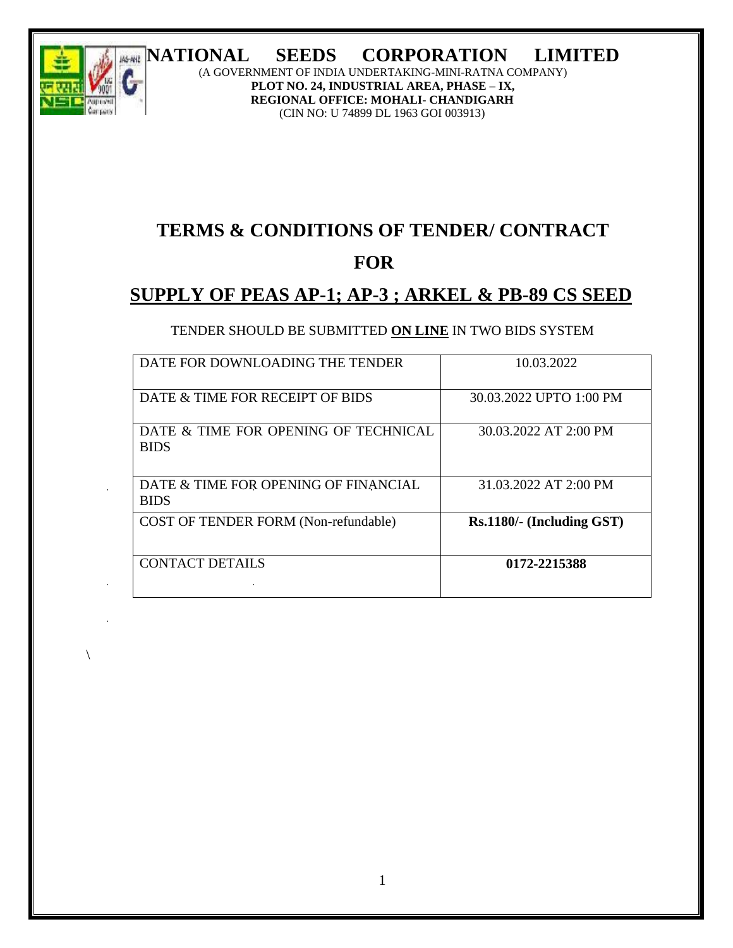# **NATIONAL SEEDS CORPORATION LIMITED**



 $\backslash$ 

(A GOVERNMENT OF INDIA UNDERTAKING-MINI-RATNA COMPANY) **PLOT NO. 24, INDUSTRIAL AREA, PHASE – IX, REGIONAL OFFICE: MOHALI- CHANDIGARH** (CIN NO: U 74899 DL 1963 GOI 003913)

# **TERMS & CONDITIONS OF TENDER/ CONTRACT**

# **FOR**

# **SUPPLY OF PEAS AP-1; AP-3 ; ARKEL & PB-89 CS SEED**

# TENDER SHOULD BE SUBMITTED **ON LINE** IN TWO BIDS SYSTEM

| DATE FOR DOWNLOADING THE TENDER                     | 10.03.2022                |
|-----------------------------------------------------|---------------------------|
| DATE & TIME FOR RECEIPT OF BIDS                     | 30.03.2022 UPTO 1:00 PM   |
| DATE & TIME FOR OPENING OF TECHNICAL<br><b>BIDS</b> | 30.03.2022 AT 2:00 PM     |
| DATE & TIME FOR OPENING OF FINANCIAL<br><b>BIDS</b> | 31.03.2022 AT 2:00 PM     |
| COST OF TENDER FORM (Non-refundable)                | Rs.1180/- (Including GST) |
| CONTACT DETAILS                                     | 0172-2215388              |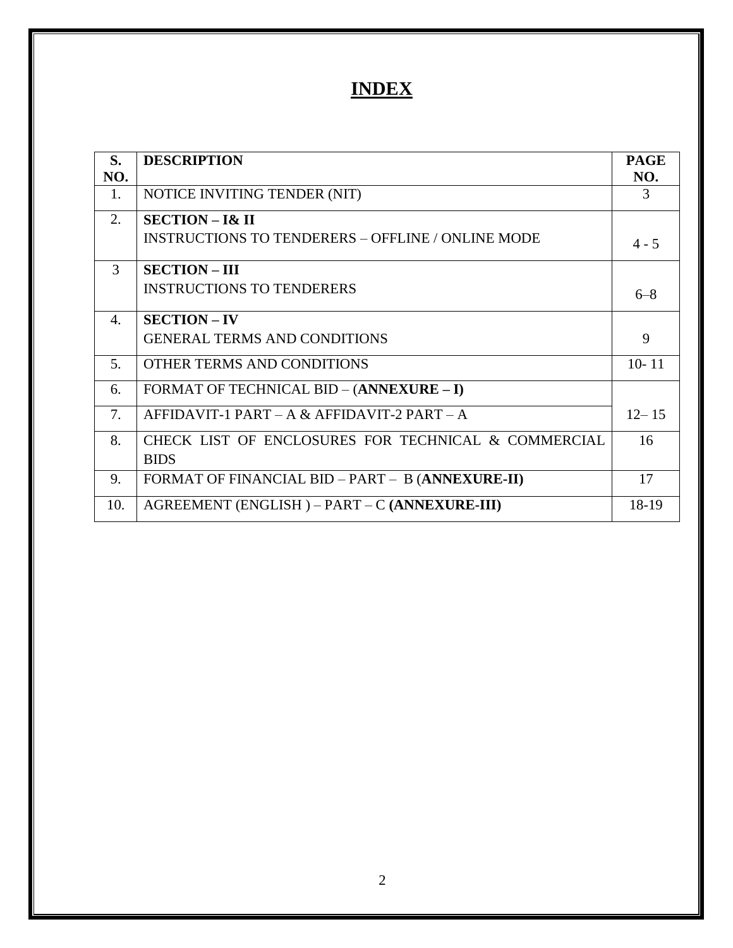# **INDEX**

| S.               | <b>DESCRIPTION</b>                                       | <b>PAGE</b>   |
|------------------|----------------------------------------------------------|---------------|
| NO.              |                                                          | NO.           |
| 1.               | NOTICE INVITING TENDER (NIT)                             | $\mathcal{R}$ |
| 2.               | $SECTION - 1& II$                                        |               |
|                  | <b>INSTRUCTIONS TO TENDERERS - OFFLINE / ONLINE MODE</b> | $4 - 5$       |
| 3                | <b>SECTION - III</b>                                     |               |
|                  | <b>INSTRUCTIONS TO TENDERERS</b>                         | $6 - 8$       |
| $\overline{4}$ . | <b>SECTION - IV</b>                                      |               |
|                  | <b>GENERAL TERMS AND CONDITIONS</b>                      | 9             |
| 5.               | OTHER TERMS AND CONDITIONS                               | $10 - 11$     |
| 6.               | FORMAT OF TECHNICAL BID - (ANNEXURE - I)                 |               |
| 7.               | AFFIDAVIT-1 PART – A & AFFIDAVIT-2 PART – A              | $12 - 15$     |
| 8.               | CHECK LIST OF ENCLOSURES FOR TECHNICAL & COMMERCIAL      | 16            |
|                  | <b>BIDS</b>                                              |               |
| 9.               | FORMAT OF FINANCIAL BID - PART - B (ANNEXURE-II)         | 17            |
| 10.              | AGREEMENT (ENGLISH) – PART – C (ANNEXURE-III)            | 18-19         |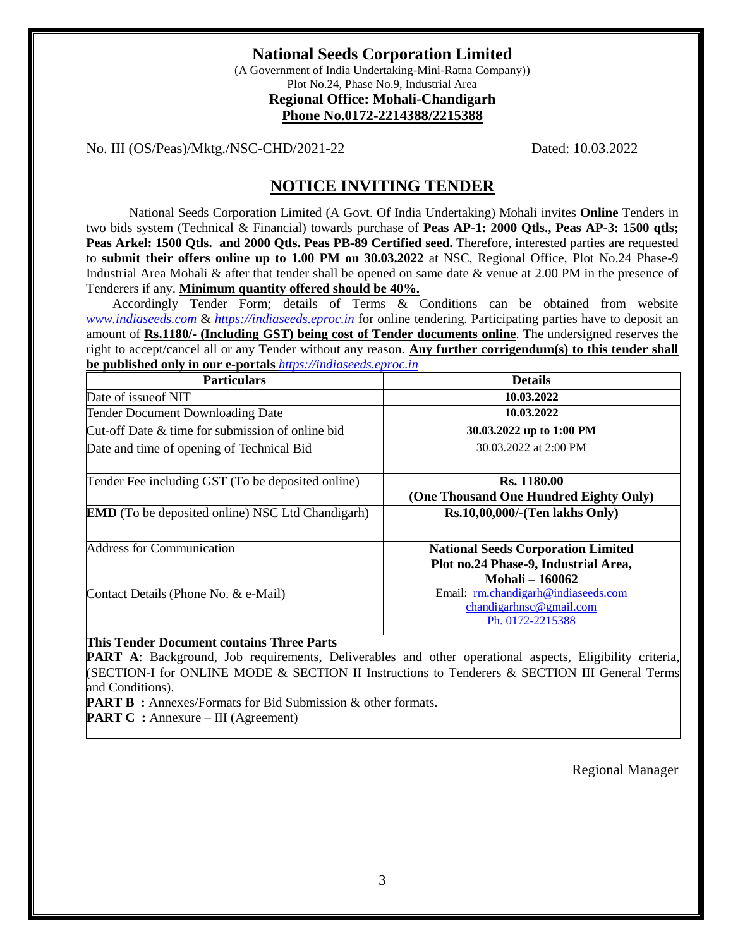# **National Seeds Corporation Limited**

(A Government of India Undertaking-Mini-Ratna Company)) Plot No.24, Phase No.9, Industrial Area **Regional Office: Mohali-Chandigarh Phone No.0172-2214388/2215388** 

No. III (OS/Peas)/Mktg./NSC-CHD/2021-22 Dated: 10.03.2022

# **NOTICE INVITING TENDER**

 National Seeds Corporation Limited (A Govt. Of India Undertaking) Mohali invites **Online** Tenders in two bids system (Technical & Financial) towards purchase of **Peas AP-1: 2000 Qtls., Peas AP-3: 1500 qtls; Peas Arkel: 1500 Qtls. and 2000 Qtls. Peas PB-89 Certified seed.** Therefore, interested parties are requested to **submit their offers online up to 1.00 PM on 30.03.2022** at NSC, Regional Office, Plot No.24 Phase-9 Industrial Area Mohali & after that tender shall be opened on same date & venue at 2.00 PM in the presence of Tenderers if any. **Minimum quantity offered should be 40%.**

 Accordingly Tender Form; details of Terms & Conditions can be obtained from website *[www.indiaseeds.com](http://www.indiaseeds.com/)* & *[https://indiaseeds.eproc.in](https://indiaseeds.eproc.in/)* for online tendering. Participating parties have to deposit an amount of **Rs.1180/- (Including GST) being cost of Tender documents online**. The undersigned reserves the right to accept/cancel all or any Tender without any reason. **Any further corrigendum(s) to this tender shall be published only in our e-portals** *[https://indiaseeds.eproc.in](https://indiaseeds.eproc.in/)*

| <b>Particulars</b>                                      | <b>Details</b>                                                                                            |
|---------------------------------------------------------|-----------------------------------------------------------------------------------------------------------|
| Date of issue of NIT                                    | 10.03.2022                                                                                                |
| <b>Tender Document Downloading Date</b>                 | 10.03.2022                                                                                                |
| Cut-off Date & time for submission of online bid        | 30.03.2022 up to 1:00 PM                                                                                  |
| Date and time of opening of Technical Bid               | 30.03.2022 at 2:00 PM                                                                                     |
| Tender Fee including GST (To be deposited online)       | <b>Rs.</b> 1180.00<br>(One Thousand One Hundred Eighty Only)                                              |
| <b>EMD</b> (To be deposited online) NSC Ltd Chandigarh) | Rs.10,00,000/-(Ten lakhs Only)                                                                            |
| <b>Address for Communication</b>                        | <b>National Seeds Corporation Limited</b><br>Plot no.24 Phase-9, Industrial Area,<br><b>Mohali-160062</b> |
| Contact Details (Phone No. & e-Mail)                    | Email: rm.chandigarh@indiaseeds.com<br>chandingarh nsc @gmail.com<br>Ph. 0172-2215388                     |

#### **This Tender Document contains Three Parts**

**PART A:** Background, Job requirements, Deliverables and other operational aspects, Eligibility criteria, (SECTION-I for ONLINE MODE & SECTION II Instructions to Tenderers & SECTION III General Terms and Conditions).

**PART B** : Annexes/Formats for Bid Submission & other formats.

**PART C** : Annexure – III (Agreement)

Regional Manager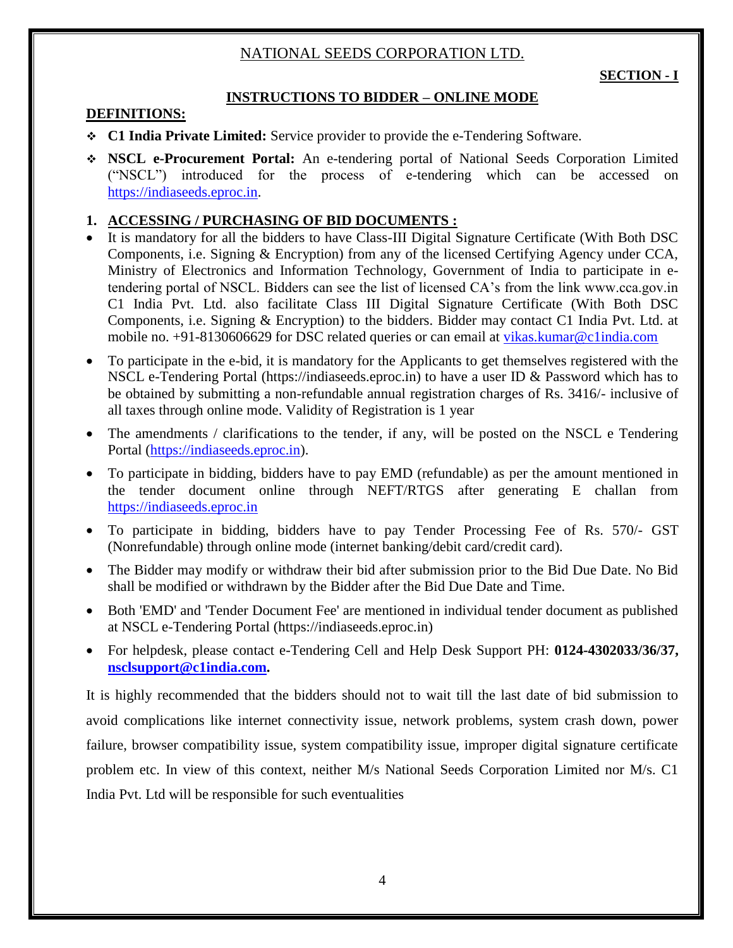# NATIONAL SEEDS CORPORATION LTD.

# **INSTRUCTIONS TO BIDDER – ONLINE MODE**

#### **DEFINITIONS:**

- **C1 India Private Limited:** Service provider to provide the e-Tendering Software.
- **NSCL e-Procurement Portal:** An e-tendering portal of National Seeds Corporation Limited ("NSCL") introduced for the process of e-tendering which can be accessed on [https://indiaseeds.eproc.in.](https://indiaseeds.eproc.in/)

### **1. ACCESSING / PURCHASING OF BID DOCUMENTS :**

- It is mandatory for all the bidders to have Class-III Digital Signature Certificate (With Both DSC Components, i.e. Signing & Encryption) from any of the licensed Certifying Agency under CCA, Ministry of Electronics and Information Technology, Government of India to participate in etendering portal of NSCL. Bidders can see the list of licensed CA's from the link www.cca.gov.in C1 India Pvt. Ltd. also facilitate Class III Digital Signature Certificate (With Both DSC Components, i.e. Signing & Encryption) to the bidders. Bidder may contact C1 India Pvt. Ltd. at mobile no. +91-8130606629 for DSC related queries or can email at [vikas.kumar@c1india.com](mailto:vikas.kumar@c1india.com)
- To participate in the e-bid, it is mandatory for the Applicants to get themselves registered with the NSCL e-Tendering Portal (https://indiaseeds.eproc.in) to have a user ID & Password which has to be obtained by submitting a non-refundable annual registration charges of Rs. 3416/- inclusive of all taxes through online mode. Validity of Registration is 1 year
- The amendments / clarifications to the tender, if any, will be posted on the NSCL e Tendering Portal [\(https://indiaseeds.eproc.in\)](https://indiaseeds.eproc.in/).
- To participate in bidding, bidders have to pay EMD (refundable) as per the amount mentioned in the tender document online through NEFT/RTGS after generating E challan from [https://indiaseeds.eproc.in](https://indiaseeds.eproc.in/)
- To participate in bidding, bidders have to pay Tender Processing Fee of Rs. 570/- GST (Nonrefundable) through online mode (internet banking/debit card/credit card).
- The Bidder may modify or withdraw their bid after submission prior to the Bid Due Date. No Bid shall be modified or withdrawn by the Bidder after the Bid Due Date and Time.
- Both 'EMD' and 'Tender Document Fee' are mentioned in individual tender document as published at NSCL e-Tendering Portal (https://indiaseeds.eproc.in)
- For helpdesk, please contact e-Tendering Cell and Help Desk Support PH: **0124-4302033/36/37, [nsclsupport@c1india.com.](mailto:nsclsupport@c1india.com)**

It is highly recommended that the bidders should not to wait till the last date of bid submission to avoid complications like internet connectivity issue, network problems, system crash down, power failure, browser compatibility issue, system compatibility issue, improper digital signature certificate problem etc. In view of this context, neither M/s National Seeds Corporation Limited nor M/s. C1 India Pvt. Ltd will be responsible for such eventualities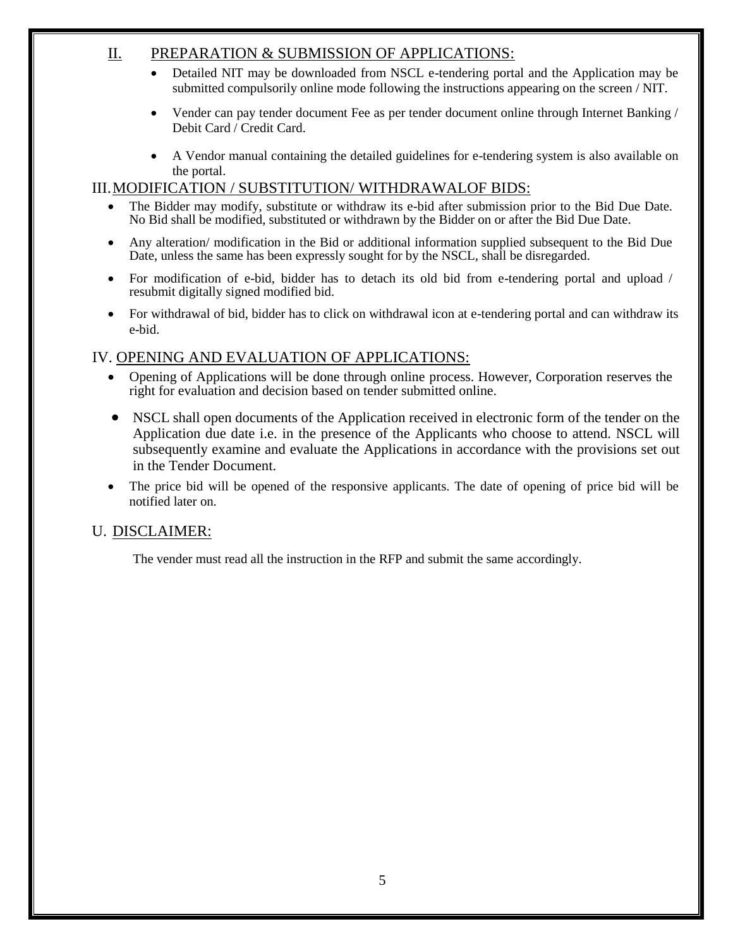# II. PREPARATION & SUBMISSION OF APPLICATIONS:

- Detailed NIT may be downloaded from NSCL e-tendering portal and the Application may be submitted compulsorily online mode following the instructions appearing on the screen / NIT.
- Vender can pay tender document Fee as per tender document online through Internet Banking / Debit Card / Credit Card.
- A Vendor manual containing the detailed guidelines for e-tendering system is also available on the portal.

# III.MODIFICATION / SUBSTITUTION/ WITHDRAWALOF BIDS:

- The Bidder may modify, substitute or withdraw its e-bid after submission prior to the Bid Due Date. No Bid shall be modified, substituted or withdrawn by the Bidder on or after the Bid Due Date.
- Any alteration/ modification in the Bid or additional information supplied subsequent to the Bid Due Date, unless the same has been expressly sought for by the NSCL, shall be disregarded.
- For modification of e-bid, bidder has to detach its old bid from e-tendering portal and upload / resubmit digitally signed modified bid.
- For withdrawal of bid, bidder has to click on withdrawal icon at e-tendering portal and can withdraw its e-bid.

# IV. OPENING AND EVALUATION OF APPLICATIONS:

- Opening of Applications will be done through online process. However, Corporation reserves the right for evaluation and decision based on tender submitted online.
- NSCL shall open documents of the Application received in electronic form of the tender on the Application due date i.e. in the presence of the Applicants who choose to attend. NSCL will subsequently examine and evaluate the Applications in accordance with the provisions set out in the Tender Document.
- The price bid will be opened of the responsive applicants. The date of opening of price bid will be notified later on.

# U. DISCLAIMER:

The vender must read all the instruction in the RFP and submit the same accordingly.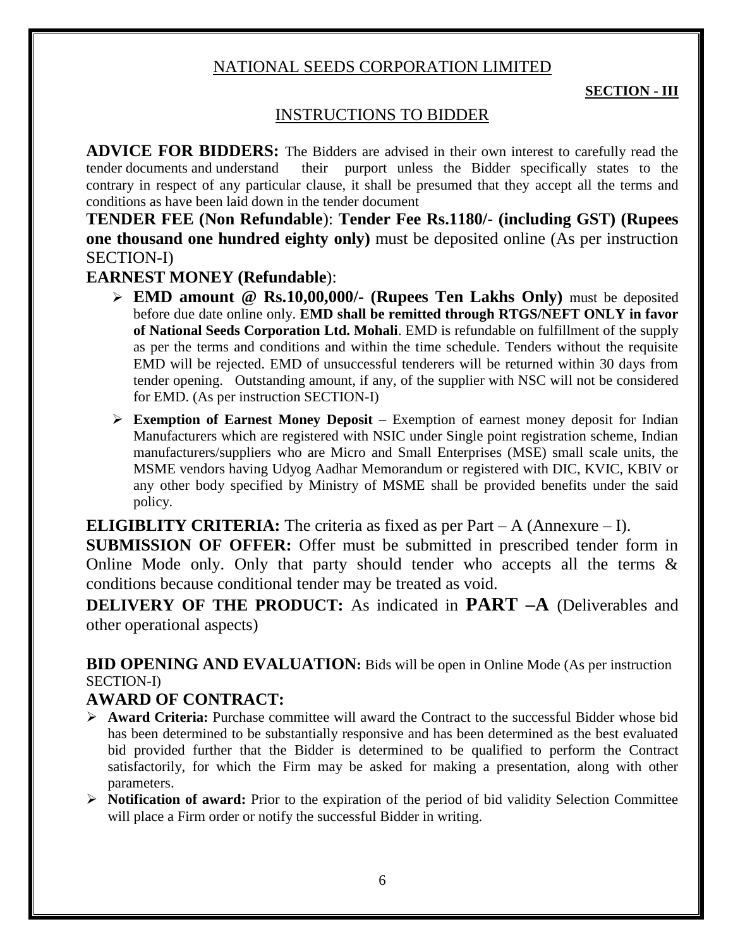# NATIONAL SEEDS CORPORATION LIMITED

#### **SECTION - III**

# INSTRUCTIONS TO BIDDER

**ADVICE FOR BIDDERS:** The Bidders are advised in their own interest to carefully read the tender documents and understand their purport unless the Bidder specifically states to the contrary in respect of any particular clause, it shall be presumed that they accept all the terms and conditions as have been laid down in the tender document

**TENDER FEE (Non Refundable**): **Tender Fee Rs.1180/- (including GST) (Rupees one thousand one hundred eighty only)** must be deposited online (As per instruction SECTION-I)

# **EARNEST MONEY (Refundable**):

- **EMD amount @ Rs.10,00,000/- (Rupees Ten Lakhs Only)** must be deposited before due date online only. **EMD shall be remitted through RTGS/NEFT ONLY in favor of National Seeds Corporation Ltd. Mohali**. EMD is refundable on fulfillment of the supply as per the terms and conditions and within the time schedule. Tenders without the requisite EMD will be rejected. EMD of unsuccessful tenderers will be returned within 30 days from tender opening. Outstanding amount, if any, of the supplier with NSC will not be considered for EMD. (As per instruction SECTION-I)
- **Exemption of Earnest Money Deposit** Exemption of earnest money deposit for Indian Manufacturers which are registered with NSIC under Single point registration scheme, Indian manufacturers/suppliers who are Micro and Small Enterprises (MSE) small scale units, the MSME vendors having Udyog Aadhar Memorandum or registered with DIC, KVIC, KBIV or any other body specified by Ministry of MSME shall be provided benefits under the said policy.

**ELIGIBLITY CRITERIA:** The criteria as fixed as per Part – A (Annexure – I).

**SUBMISSION OF OFFER:** Offer must be submitted in prescribed tender form in Online Mode only. Only that party should tender who accepts all the terms  $\&$ conditions because conditional tender may be treated as void.

**DELIVERY OF THE PRODUCT:** As indicated in **PART –A** (Deliverables and other operational aspects)

**BID OPENING AND EVALUATION:** Bids will be open in Online Mode (As per instruction SECTION-I)

# **AWARD OF CONTRACT:**

- **Award Criteria:** Purchase committee will award the Contract to the successful Bidder whose bid has been determined to be substantially responsive and has been determined as the best evaluated bid provided further that the Bidder is determined to be qualified to perform the Contract satisfactorily, for which the Firm may be asked for making a presentation, along with other parameters.
- **Notification of award:** Prior to the expiration of the period of bid validity Selection Committee will place a Firm order or notify the successful Bidder in writing.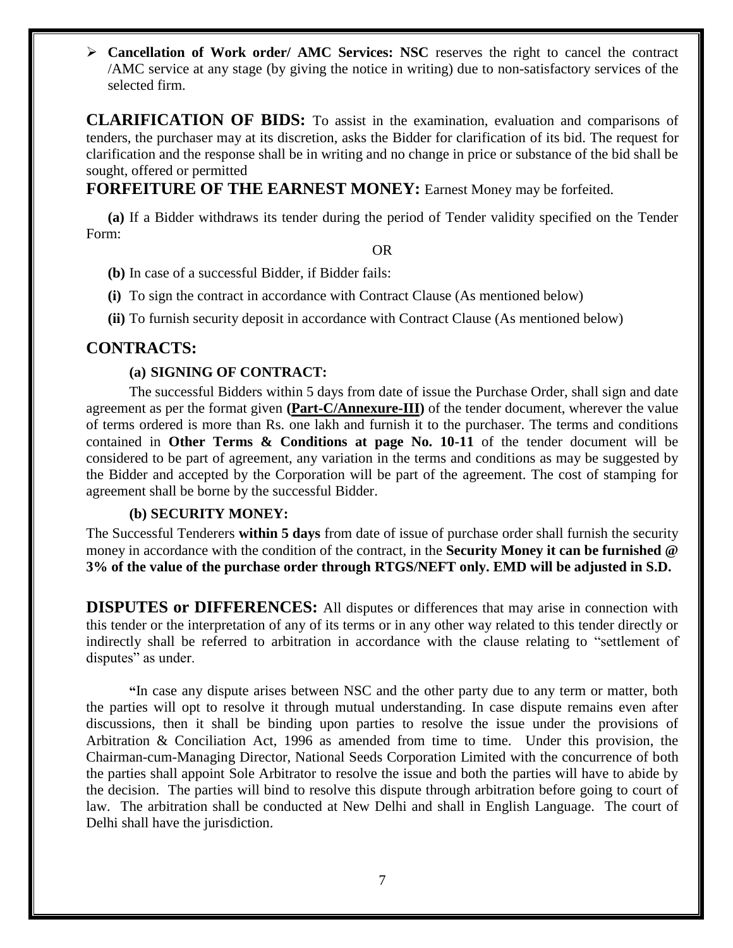**Cancellation of Work order/ AMC Services: NSC** reserves the right to cancel the contract /AMC service at any stage (by giving the notice in writing) due to non-satisfactory services of the selected firm.

**CLARIFICATION OF BIDS:** To assist in the examination, evaluation and comparisons of tenders, the purchaser may at its discretion, asks the Bidder for clarification of its bid. The request for clarification and the response shall be in writing and no change in price or substance of the bid shall be sought, offered or permitted

**FORFEITURE OF THE EARNEST MONEY:** Earnest Money may be forfeited.

**(a)** If a Bidder withdraws its tender during the period of Tender validity specified on the Tender Form:

OR

- **(b)** In case of a successful Bidder, if Bidder fails:
- **(i)** To sign the contract in accordance with Contract Clause (As mentioned below)

**(ii)** To furnish security deposit in accordance with Contract Clause (As mentioned below)

#### **CONTRACTS:**

#### **(a) SIGNING OF CONTRACT:**

The successful Bidders within 5 days from date of issue the Purchase Order, shall sign and date agreement as per the format given **(Part-C/Annexure-III)** of the tender document, wherever the value of terms ordered is more than Rs. one lakh and furnish it to the purchaser. The terms and conditions contained in **Other Terms & Conditions at page No. 10-11** of the tender document will be considered to be part of agreement, any variation in the terms and conditions as may be suggested by the Bidder and accepted by the Corporation will be part of the agreement. The cost of stamping for agreement shall be borne by the successful Bidder.

#### **(b) SECURITY MONEY:**

The Successful Tenderers **within 5 days** from date of issue of purchase order shall furnish the security money in accordance with the condition of the contract, in the **Security Money it can be furnished @ 3% of the value of the purchase order through RTGS/NEFT only. EMD will be adjusted in S.D.**

**DISPUTES or DIFFERENCES:** All disputes or differences that may arise in connection with this tender or the interpretation of any of its terms or in any other way related to this tender directly or indirectly shall be referred to arbitration in accordance with the clause relating to "settlement of disputes" as under.

**"**In case any dispute arises between NSC and the other party due to any term or matter, both the parties will opt to resolve it through mutual understanding. In case dispute remains even after discussions, then it shall be binding upon parties to resolve the issue under the provisions of Arbitration & Conciliation Act, 1996 as amended from time to time. Under this provision, the Chairman-cum-Managing Director, National Seeds Corporation Limited with the concurrence of both the parties shall appoint Sole Arbitrator to resolve the issue and both the parties will have to abide by the decision. The parties will bind to resolve this dispute through arbitration before going to court of law. The arbitration shall be conducted at New Delhi and shall in English Language. The court of Delhi shall have the jurisdiction.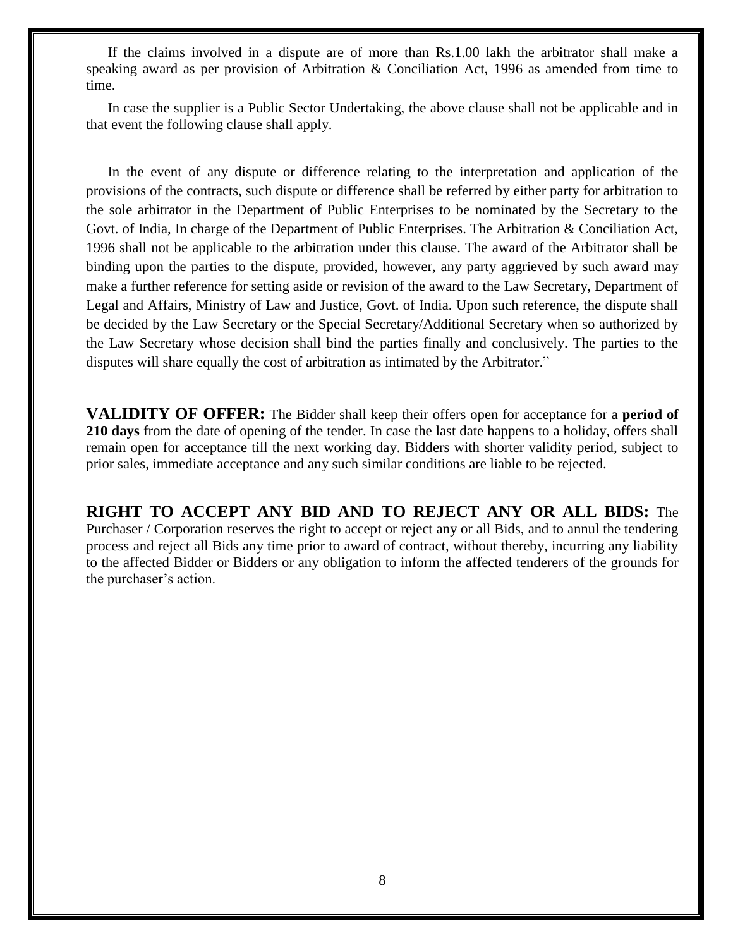If the claims involved in a dispute are of more than Rs.1.00 lakh the arbitrator shall make a speaking award as per provision of Arbitration & Conciliation Act, 1996 as amended from time to time.

In case the supplier is a Public Sector Undertaking, the above clause shall not be applicable and in that event the following clause shall apply.

In the event of any dispute or difference relating to the interpretation and application of the provisions of the contracts, such dispute or difference shall be referred by either party for arbitration to the sole arbitrator in the Department of Public Enterprises to be nominated by the Secretary to the Govt. of India, In charge of the Department of Public Enterprises. The Arbitration & Conciliation Act, 1996 shall not be applicable to the arbitration under this clause. The award of the Arbitrator shall be binding upon the parties to the dispute, provided, however, any party aggrieved by such award may make a further reference for setting aside or revision of the award to the Law Secretary, Department of Legal and Affairs, Ministry of Law and Justice, Govt. of India. Upon such reference, the dispute shall be decided by the Law Secretary or the Special Secretary/Additional Secretary when so authorized by the Law Secretary whose decision shall bind the parties finally and conclusively. The parties to the disputes will share equally the cost of arbitration as intimated by the Arbitrator."

**VALIDITY OF OFFER:** The Bidder shall keep their offers open for acceptance for a **period of 210 days** from the date of opening of the tender. In case the last date happens to a holiday, offers shall remain open for acceptance till the next working day. Bidders with shorter validity period, subject to prior sales, immediate acceptance and any such similar conditions are liable to be rejected.

**RIGHT TO ACCEPT ANY BID AND TO REJECT ANY OR ALL BIDS:** The Purchaser / Corporation reserves the right to accept or reject any or all Bids, and to annul the tendering process and reject all Bids any time prior to award of contract, without thereby, incurring any liability to the affected Bidder or Bidders or any obligation to inform the affected tenderers of the grounds for the purchaser's action.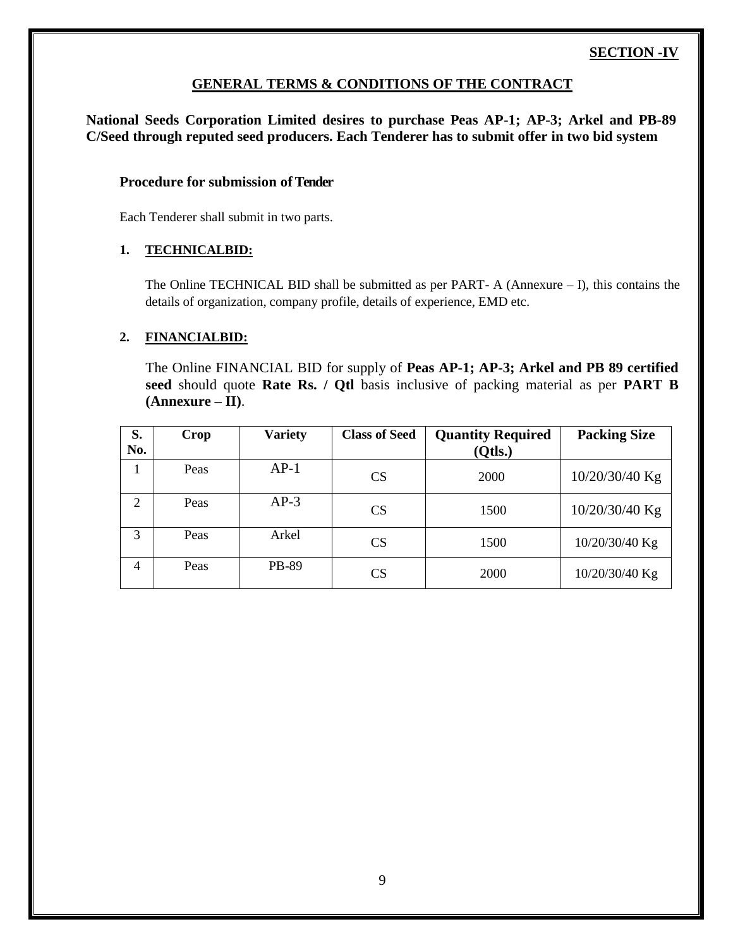# **SECTION -IV**

#### **GENERAL TERMS & CONDITIONS OF THE CONTRACT**

**National Seeds Corporation Limited desires to purchase Peas AP-1; AP-3; Arkel and PB-89 C/Seed through reputed seed producers. Each Tenderer has to submit offer in two bid system**

#### **Procedure for submission of Tender**

Each Tenderer shall submit in two parts.

#### **1. TECHNICALBID:**

The Online TECHNICAL BID shall be submitted as per PART- A (Annexure – I), this contains the details of organization, company profile, details of experience, EMD etc.

#### **2. FINANCIALBID:**

The Online FINANCIAL BID for supply of **Peas AP-1; AP-3; Arkel and PB 89 certified seed** should quote **Rate Rs. / Qtl** basis inclusive of packing material as per **PART B (Annexure – II)**.

| S.<br>No. | Crop | <b>Variety</b> | <b>Class of Seed</b> | <b>Quantity Required</b><br>(Qtls.) | <b>Packing Size</b> |
|-----------|------|----------------|----------------------|-------------------------------------|---------------------|
| 1         | Peas | $AP-1$         | CS                   | 2000                                | 10/20/30/40 Kg      |
| 2         | Peas | $AP-3$         | CS                   | 1500                                | 10/20/30/40 Kg      |
| 3         | Peas | Arkel          | CS                   | 1500                                | 10/20/30/40 Kg      |
| 4         | Peas | PB-89          | CS                   | 2000                                | 10/20/30/40 Kg      |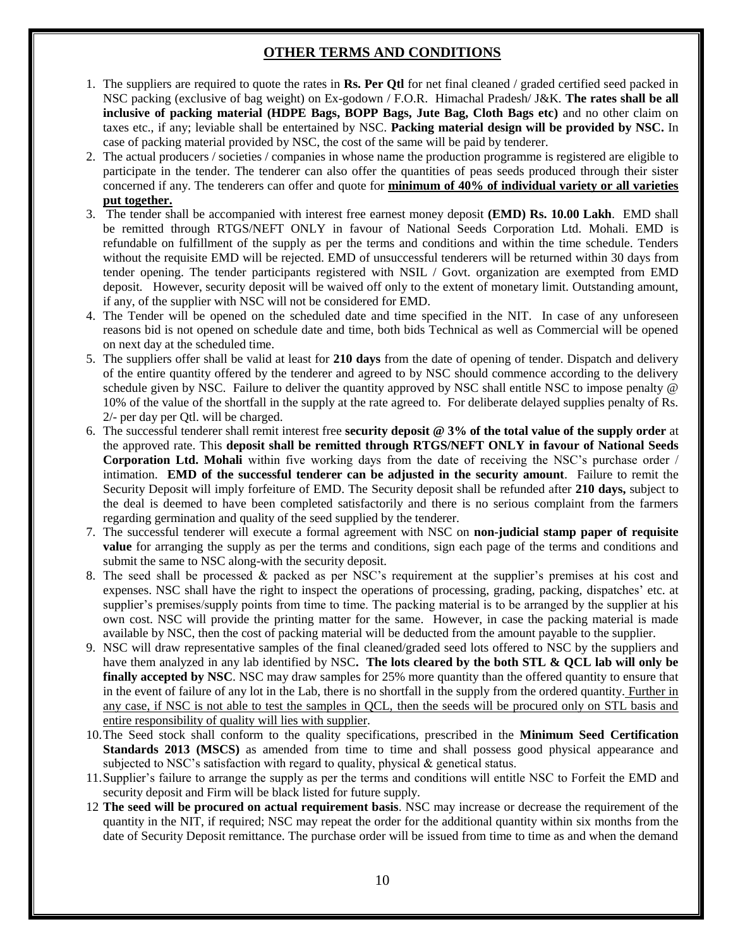# **OTHER TERMS AND CONDITIONS**

- 1. The suppliers are required to quote the rates in **Rs. Per Qtl** for net final cleaned / graded certified seed packed in NSC packing (exclusive of bag weight) on Ex-godown / F.O.R. Himachal Pradesh/ J&K. **The rates shall be all inclusive of packing material (HDPE Bags, BOPP Bags, Jute Bag, Cloth Bags etc)** and no other claim on taxes etc., if any; leviable shall be entertained by NSC. **Packing material design will be provided by NSC.** In case of packing material provided by NSC, the cost of the same will be paid by tenderer.
- 2. The actual producers / societies / companies in whose name the production programme is registered are eligible to participate in the tender. The tenderer can also offer the quantities of peas seeds produced through their sister concerned if any. The tenderers can offer and quote for **minimum of 40% of individual variety or all varieties put together.**
- 3. The tender shall be accompanied with interest free earnest money deposit **(EMD) Rs. 10.00 Lakh**. EMD shall be remitted through RTGS/NEFT ONLY in favour of National Seeds Corporation Ltd. Mohali. EMD is refundable on fulfillment of the supply as per the terms and conditions and within the time schedule. Tenders without the requisite EMD will be rejected. EMD of unsuccessful tenderers will be returned within 30 days from tender opening. The tender participants registered with NSIL / Govt. organization are exempted from EMD deposit. However, security deposit will be waived off only to the extent of monetary limit. Outstanding amount, if any, of the supplier with NSC will not be considered for EMD.
- 4. The Tender will be opened on the scheduled date and time specified in the NIT. In case of any unforeseen reasons bid is not opened on schedule date and time, both bids Technical as well as Commercial will be opened on next day at the scheduled time.
- 5. The suppliers offer shall be valid at least for **210 days** from the date of opening of tender. Dispatch and delivery of the entire quantity offered by the tenderer and agreed to by NSC should commence according to the delivery schedule given by NSC. Failure to deliver the quantity approved by NSC shall entitle NSC to impose penalty @ 10% of the value of the shortfall in the supply at the rate agreed to. For deliberate delayed supplies penalty of Rs. 2/- per day per Qtl. will be charged.
- 6. The successful tenderer shall remit interest free **security deposit @ 3% of the total value of the supply order** at the approved rate. This **deposit shall be remitted through RTGS/NEFT ONLY in favour of National Seeds Corporation Ltd. Mohali** within five working days from the date of receiving the NSC's purchase order / intimation. **EMD of the successful tenderer can be adjusted in the security amount**. Failure to remit the Security Deposit will imply forfeiture of EMD. The Security deposit shall be refunded after **210 days,** subject to the deal is deemed to have been completed satisfactorily and there is no serious complaint from the farmers regarding germination and quality of the seed supplied by the tenderer.
- 7. The successful tenderer will execute a formal agreement with NSC on **non-judicial stamp paper of requisite value** for arranging the supply as per the terms and conditions, sign each page of the terms and conditions and submit the same to NSC along-with the security deposit.
- 8. The seed shall be processed & packed as per NSC's requirement at the supplier's premises at his cost and expenses. NSC shall have the right to inspect the operations of processing, grading, packing, dispatches' etc. at supplier's premises/supply points from time to time. The packing material is to be arranged by the supplier at his own cost. NSC will provide the printing matter for the same. However, in case the packing material is made available by NSC, then the cost of packing material will be deducted from the amount payable to the supplier.
- 9. NSC will draw representative samples of the final cleaned/graded seed lots offered to NSC by the suppliers and have them analyzed in any lab identified by NSC**. The lots cleared by the both STL & QCL lab will only be finally accepted by NSC**. NSC may draw samples for 25% more quantity than the offered quantity to ensure that in the event of failure of any lot in the Lab, there is no shortfall in the supply from the ordered quantity. Further in any case, if NSC is not able to test the samples in QCL, then the seeds will be procured only on STL basis and entire responsibility of quality will lies with supplier.
- 10.The Seed stock shall conform to the quality specifications, prescribed in the **Minimum Seed Certification Standards 2013 (MSCS)** as amended from time to time and shall possess good physical appearance and subjected to NSC's satisfaction with regard to quality, physical & genetical status.
- 11.Supplier's failure to arrange the supply as per the terms and conditions will entitle NSC to Forfeit the EMD and security deposit and Firm will be black listed for future supply.
- 12 **The seed will be procured on actual requirement basis**. NSC may increase or decrease the requirement of the quantity in the NIT, if required; NSC may repeat the order for the additional quantity within six months from the date of Security Deposit remittance. The purchase order will be issued from time to time as and when the demand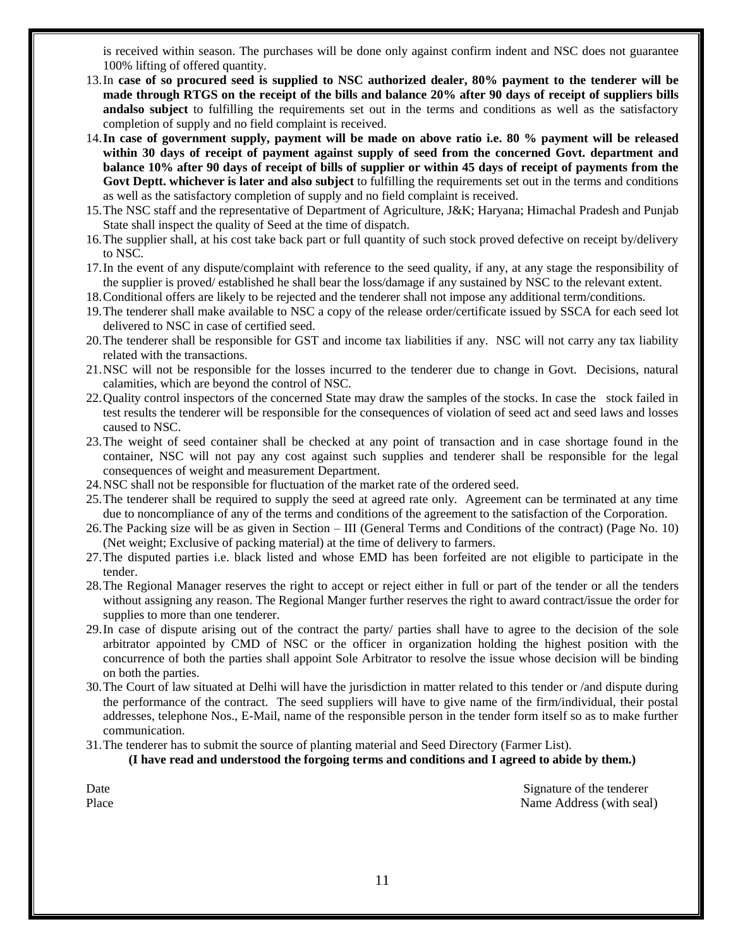is received within season. The purchases will be done only against confirm indent and NSC does not guarantee 100% lifting of offered quantity.

- 13.In **case of so procured seed is supplied to NSC authorized dealer, 80% payment to the tenderer will be made through RTGS on the receipt of the bills and balance 20% after 90 days of receipt of suppliers bills andalso subject** to fulfilling the requirements set out in the terms and conditions as well as the satisfactory completion of supply and no field complaint is received.
- 14.**In case of government supply, payment will be made on above ratio i.e. 80 % payment will be released within 30 days of receipt of payment against supply of seed from the concerned Govt. department and balance 10% after 90 days of receipt of bills of supplier or within 45 days of receipt of payments from the Govt Deptt. whichever is later and also subject** to fulfilling the requirements set out in the terms and conditions as well as the satisfactory completion of supply and no field complaint is received.
- 15.The NSC staff and the representative of Department of Agriculture, J&K; Haryana; Himachal Pradesh and Punjab State shall inspect the quality of Seed at the time of dispatch.
- 16.The supplier shall, at his cost take back part or full quantity of such stock proved defective on receipt by/delivery to NSC.
- 17.In the event of any dispute/complaint with reference to the seed quality, if any, at any stage the responsibility of the supplier is proved/ established he shall bear the loss/damage if any sustained by NSC to the relevant extent.
- 18.Conditional offers are likely to be rejected and the tenderer shall not impose any additional term/conditions.
- 19.The tenderer shall make available to NSC a copy of the release order/certificate issued by SSCA for each seed lot delivered to NSC in case of certified seed.
- 20.The tenderer shall be responsible for GST and income tax liabilities if any. NSC will not carry any tax liability related with the transactions.
- 21.NSC will not be responsible for the losses incurred to the tenderer due to change in Govt. Decisions, natural calamities, which are beyond the control of NSC.
- 22.Quality control inspectors of the concerned State may draw the samples of the stocks. In case the stock failed in test results the tenderer will be responsible for the consequences of violation of seed act and seed laws and losses caused to NSC.
- 23.The weight of seed container shall be checked at any point of transaction and in case shortage found in the container, NSC will not pay any cost against such supplies and tenderer shall be responsible for the legal consequences of weight and measurement Department.
- 24.NSC shall not be responsible for fluctuation of the market rate of the ordered seed.
- 25.The tenderer shall be required to supply the seed at agreed rate only. Agreement can be terminated at any time due to noncompliance of any of the terms and conditions of the agreement to the satisfaction of the Corporation.
- 26.The Packing size will be as given in Section III (General Terms and Conditions of the contract) (Page No. 10) (Net weight; Exclusive of packing material) at the time of delivery to farmers.
- 27.The disputed parties i.e. black listed and whose EMD has been forfeited are not eligible to participate in the tender.
- 28.The Regional Manager reserves the right to accept or reject either in full or part of the tender or all the tenders without assigning any reason. The Regional Manger further reserves the right to award contract/issue the order for supplies to more than one tenderer.
- 29.In case of dispute arising out of the contract the party/ parties shall have to agree to the decision of the sole arbitrator appointed by CMD of NSC or the officer in organization holding the highest position with the concurrence of both the parties shall appoint Sole Arbitrator to resolve the issue whose decision will be binding on both the parties.
- 30.The Court of law situated at Delhi will have the jurisdiction in matter related to this tender or /and dispute during the performance of the contract. The seed suppliers will have to give name of the firm/individual, their postal addresses, telephone Nos., E-Mail, name of the responsible person in the tender form itself so as to make further communication.
- 31.The tenderer has to submit the source of planting material and Seed Directory (Farmer List).

#### **(I have read and understood the forgoing terms and conditions and I agreed to abide by them.)**

Date Signature of the tenderer Place Name Address (with seal)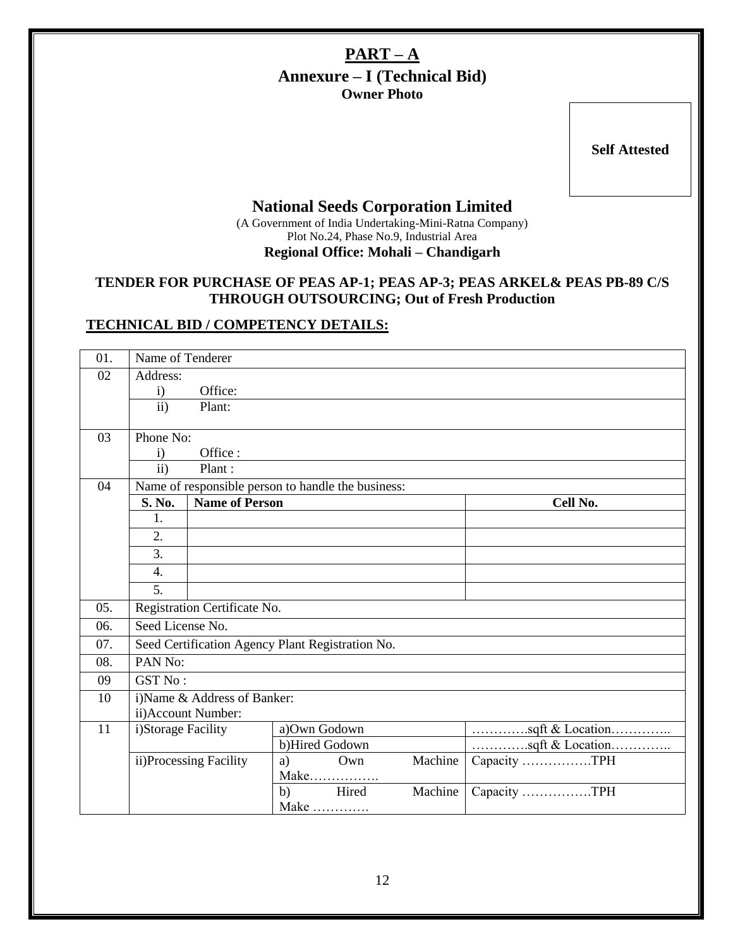# **PART – A Annexure – I (Technical Bid) Owner Photo**

**Self Attested**

# **National Seeds Corporation Limited**

(A Government of India Undertaking-Mini-Ratna Company) Plot No.24, Phase No.9, Industrial Area **Regional Office: Mohali – Chandigarh**

### **TENDER FOR PURCHASE OF PEAS AP-1; PEAS AP-3; PEAS ARKEL& PEAS PB-89 C/S THROUGH OUTSOURCING; Out of Fresh Production**

# **TECHNICAL BID / COMPETENCY DETAILS:**

| 01. |                                      | Name of Tenderer                                   |    |                |         |                                 |  |  |  |  |
|-----|--------------------------------------|----------------------------------------------------|----|----------------|---------|---------------------------------|--|--|--|--|
| 02  | Address:                             |                                                    |    |                |         |                                 |  |  |  |  |
|     | $\rm i)$                             | Office:                                            |    |                |         |                                 |  |  |  |  |
|     | $\mathbf{ii}$                        | Plant:                                             |    |                |         |                                 |  |  |  |  |
|     |                                      |                                                    |    |                |         |                                 |  |  |  |  |
| 03  | Phone No:<br>Office:<br>$\mathbf{i}$ |                                                    |    |                |         |                                 |  |  |  |  |
|     |                                      | $\mathbf{ii}$<br>Plant:                            |    |                |         |                                 |  |  |  |  |
| 04  |                                      | Name of responsible person to handle the business: |    |                |         |                                 |  |  |  |  |
|     | S. No.                               | <b>Name of Person</b>                              |    |                |         | Cell No.                        |  |  |  |  |
|     | 1.                                   |                                                    |    |                |         |                                 |  |  |  |  |
|     | 2.                                   |                                                    |    |                |         |                                 |  |  |  |  |
|     | 3.                                   |                                                    |    |                |         |                                 |  |  |  |  |
|     | $\overline{4}$ .                     |                                                    |    |                |         |                                 |  |  |  |  |
|     | 5.                                   |                                                    |    |                |         |                                 |  |  |  |  |
| 05. |                                      | Registration Certificate No.                       |    |                |         |                                 |  |  |  |  |
| 06. | Seed License No.                     |                                                    |    |                |         |                                 |  |  |  |  |
| 07. |                                      | Seed Certification Agency Plant Registration No.   |    |                |         |                                 |  |  |  |  |
| 08. | PAN No:                              |                                                    |    |                |         |                                 |  |  |  |  |
| 09  | GST No:                              |                                                    |    |                |         |                                 |  |  |  |  |
| 10  |                                      | i)Name & Address of Banker:                        |    |                |         |                                 |  |  |  |  |
|     |                                      | ii) Account Number:                                |    |                |         |                                 |  |  |  |  |
| 11  | i)Storage Facility                   |                                                    |    | a)Own Godown   |         | sqft & Location                 |  |  |  |  |
|     |                                      |                                                    |    | b)Hired Godown |         | sqft & Location<br>Capacity TPH |  |  |  |  |
|     |                                      | ii)Processing Facility                             | a) | Own            | Machine |                                 |  |  |  |  |
|     |                                      |                                                    |    | Make           |         |                                 |  |  |  |  |
|     |                                      |                                                    | b) | Hired          | Machine | Capacity TPH                    |  |  |  |  |
|     | Make                                 |                                                    |    |                |         |                                 |  |  |  |  |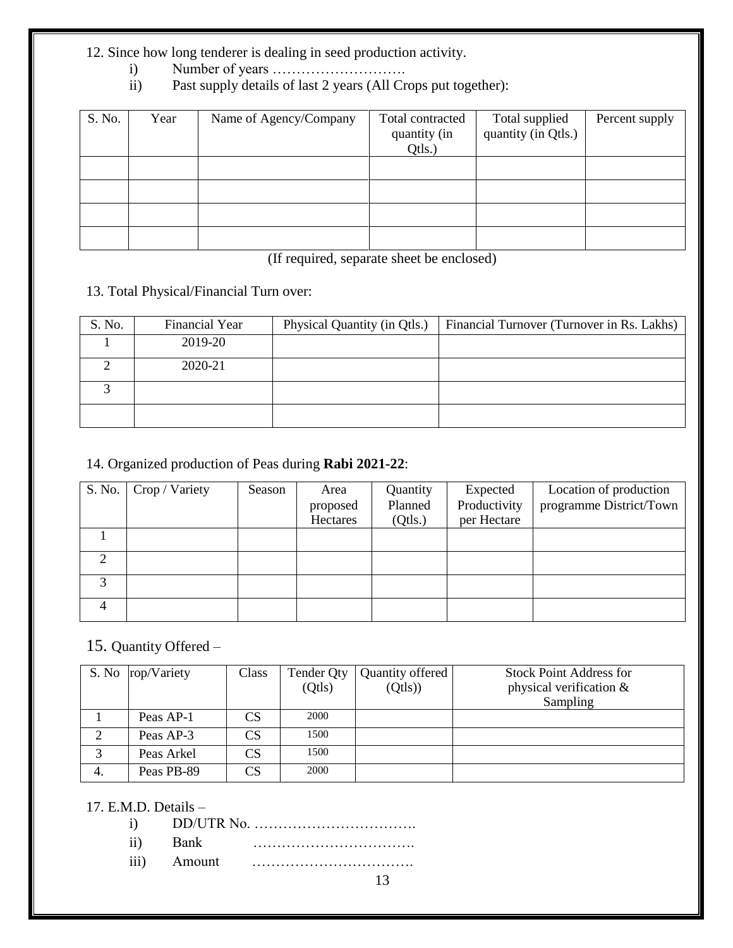# 12. Since how long tenderer is dealing in seed production activity.

- i) Number of years ……………………….
- Past supply details of last 2 years (All Crops put together):

| S. No. | Year | Name of Agency/Company | Total contracted<br>quantity (in<br>Qtls.) | Total supplied<br>quantity (in Qtls.) | Percent supply |
|--------|------|------------------------|--------------------------------------------|---------------------------------------|----------------|
|        |      |                        |                                            |                                       |                |
|        |      |                        |                                            |                                       |                |
|        |      |                        |                                            |                                       |                |
|        |      |                        |                                            |                                       |                |

(If required, separate sheet be enclosed)

# 13. Total Physical/Financial Turn over:

| S. No. | <b>Financial Year</b> | Physical Quantity (in Qtls.) | Financial Turnover (Turnover in Rs. Lakhs) |
|--------|-----------------------|------------------------------|--------------------------------------------|
|        | 2019-20               |                              |                                            |
|        | 2020-21               |                              |                                            |
|        |                       |                              |                                            |
|        |                       |                              |                                            |

# 14. Organized production of Peas during **Rabi 2021-22**:

| S. No. | Crop / Variety | Season | Area     | Quantity | Expected     | Location of production  |
|--------|----------------|--------|----------|----------|--------------|-------------------------|
|        |                |        | proposed | Planned  | Productivity | programme District/Town |
|        |                |        | Hectares | (Qtls.)  | per Hectare  |                         |
|        |                |        |          |          |              |                         |
| ↑      |                |        |          |          |              |                         |
|        |                |        |          |          |              |                         |
|        |                |        |          |          |              |                         |

# 15. Quantity Offered –

|    | S. No rop/Variety | Class | Tender Qty | Quantity offered | Stock Point Address for    |
|----|-------------------|-------|------------|------------------|----------------------------|
|    |                   |       | (Qtls)     | (Qtls)           | physical verification $\&$ |
|    |                   |       |            |                  | Sampling                   |
|    | Peas AP-1         | CS    | 2000       |                  |                            |
| C  | Peas AP-3         | CS    | 1500       |                  |                            |
| 3  | Peas Arkel        | CS    | 1500       |                  |                            |
| 4. | Peas PB-89        | CS    | 2000       |                  |                            |

# 17. E.M.D. Details –

| $\cdot$ : $\cdot$ |  |
|-------------------|--|

- ii) Bank ……………………………. iii) Amount …………………………….
	- 13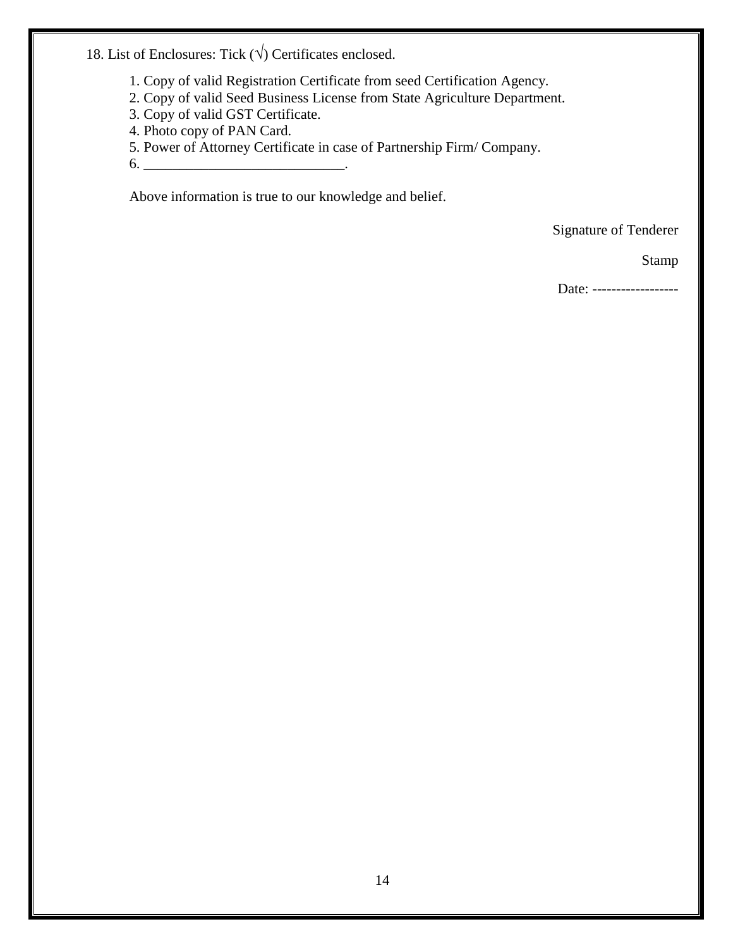18. List of Enclosures: Tick  $(\sqrt{})$  Certificates enclosed.

- 1. Copy of valid Registration Certificate from seed Certification Agency.
- 2. Copy of valid Seed Business License from State Agriculture Department.
- 3. Copy of valid GST Certificate.
- 4. Photo copy of PAN Card.
- 5. Power of Attorney Certificate in case of Partnership Firm/ Company.
- $6.$   $\overline{\phantom{a}}$

Above information is true to our knowledge and belief.

Signature of Tenderer

Stamp

Date: ------------------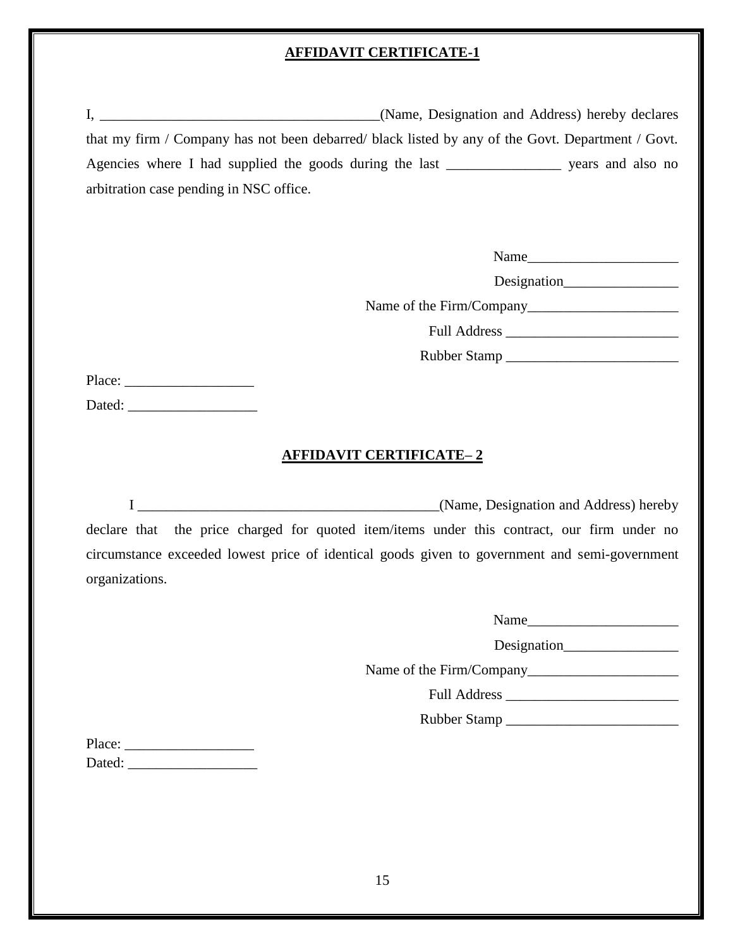# **AFFIDAVIT CERTIFICATE-1**

| that my firm / Company has not been debarred/ black listed by any of the Govt. Department / Govt. |                               |
|---------------------------------------------------------------------------------------------------|-------------------------------|
| Agencies where I had supplied the goods during the last ___________________ years and also no     |                               |
| arbitration case pending in NSC office.                                                           |                               |
|                                                                                                   |                               |
|                                                                                                   |                               |
|                                                                                                   | Name                          |
|                                                                                                   |                               |
|                                                                                                   |                               |
|                                                                                                   |                               |
|                                                                                                   |                               |
|                                                                                                   |                               |
|                                                                                                   |                               |
|                                                                                                   |                               |
| <u>AFFIDAVIT CERTIFICATE– 2</u>                                                                   |                               |
|                                                                                                   |                               |
|                                                                                                   |                               |
| declare that the price charged for quoted item/items under this contract, our firm under no       |                               |
| circumstance exceeded lowest price of identical goods given to government and semi-government     |                               |
|                                                                                                   |                               |
| organizations.                                                                                    |                               |
|                                                                                                   | Name                          |
|                                                                                                   | Designation__________________ |
|                                                                                                   |                               |
|                                                                                                   |                               |
|                                                                                                   |                               |
|                                                                                                   |                               |
|                                                                                                   |                               |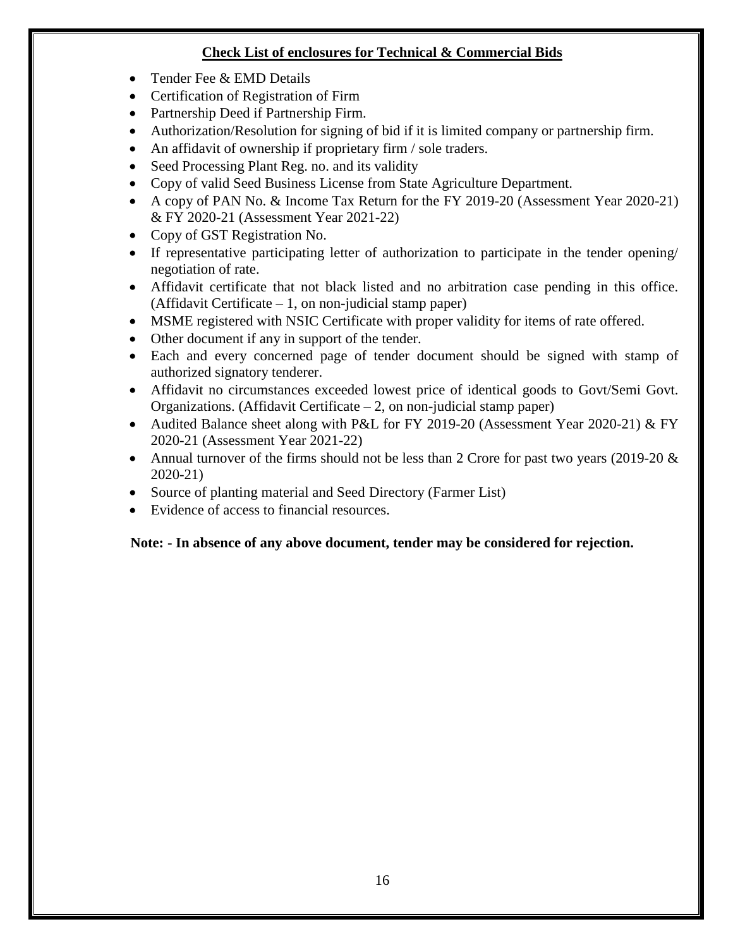# **Check List of enclosures for Technical & Commercial Bids**

- Tender Fee & EMD Details
- Certification of Registration of Firm
- Partnership Deed if Partnership Firm.
- Authorization/Resolution for signing of bid if it is limited company or partnership firm.
- An affidavit of ownership if proprietary firm / sole traders.
- Seed Processing Plant Reg. no. and its validity
- Copy of valid Seed Business License from State Agriculture Department.
- A copy of PAN No. & Income Tax Return for the FY 2019-20 (Assessment Year 2020-21) & FY 2020-21 (Assessment Year 2021-22)
- Copy of GST Registration No.
- If representative participating letter of authorization to participate in the tender opening/ negotiation of rate.
- Affidavit certificate that not black listed and no arbitration case pending in this office. (Affidavit Certificate  $-1$ , on non-judicial stamp paper)
- MSME registered with NSIC Certificate with proper validity for items of rate offered.
- Other document if any in support of the tender.
- Each and every concerned page of tender document should be signed with stamp of authorized signatory tenderer.
- Affidavit no circumstances exceeded lowest price of identical goods to Govt/Semi Govt. Organizations. (Affidavit Certificate  $-2$ , on non-judicial stamp paper)
- Audited Balance sheet along with P&L for FY 2019-20 (Assessment Year 2020-21) & FY 2020-21 (Assessment Year 2021-22)
- Annual turnover of the firms should not be less than 2 Crore for past two years (2019-20  $\&$ 2020-21)
- Source of planting material and Seed Directory (Farmer List)
- Evidence of access to financial resources.

# **Note: - In absence of any above document, tender may be considered for rejection.**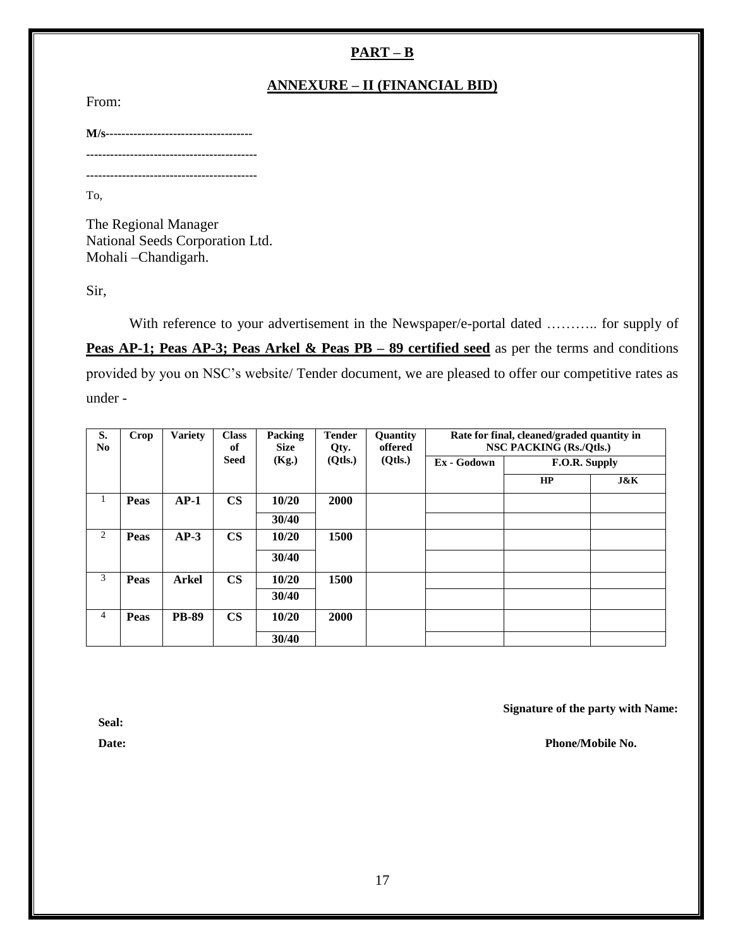# **PART – B**

# **ANNEXURE – II (FINANCIAL BID)**

From:

**M/s------------------------------------- ------------------------------------------- -------------------------------------------**

To,

The Regional Manager National Seeds Corporation Ltd. Mohali –Chandigarh.

Sir,

With reference to your advertisement in the Newspaper/e-portal dated ……….. for supply of **Peas AP-1; Peas AP-3; Peas Arkel & Peas PB – 89 certified seed** as per the terms and conditions provided by you on NSC's website/ Tender document, we are pleased to offer our competitive rates as under -

| S.<br>N <sub>0</sub> | Crop        | <b>Variety</b> | <b>Class</b><br>of | Packing<br><b>Size</b> | <b>Tender</b><br>Qty. | Quantity<br>offered | Rate for final, cleaned/graded quantity in<br>NSC PACKING (Rs./Qtls.) |               |     |
|----------------------|-------------|----------------|--------------------|------------------------|-----------------------|---------------------|-----------------------------------------------------------------------|---------------|-----|
|                      |             |                | <b>Seed</b>        | (Kg.)                  | (Orls.)               | (Qtls.)             | Ex - Godown                                                           | F.O.R. Supply |     |
|                      |             |                |                    |                        |                       |                     |                                                                       | HP            | J&K |
| 1                    | Peas        | $AP-1$         | $\mathbf{CS}$      | 10/20                  | 2000                  |                     |                                                                       |               |     |
|                      |             |                |                    | 30/40                  |                       |                     |                                                                       |               |     |
| 2                    | <b>Peas</b> | $AP-3$         | $\mathbf{CS}$      | 10/20                  | 1500                  |                     |                                                                       |               |     |
|                      |             |                |                    | 30/40                  |                       |                     |                                                                       |               |     |
| 3                    | Peas        | <b>Arkel</b>   | $\mathbf{CS}$      | 10/20                  | 1500                  |                     |                                                                       |               |     |
|                      |             |                |                    | 30/40                  |                       |                     |                                                                       |               |     |
| $\overline{4}$       | Peas        | <b>PB-89</b>   | $\mathbf{CS}$      | 10/20                  | 2000                  |                     |                                                                       |               |     |
|                      |             |                |                    | 30/40                  |                       |                     |                                                                       |               |     |

 **Signature of the party with Name:**

 **Seal:**

**Date:** Phone/Mobile No.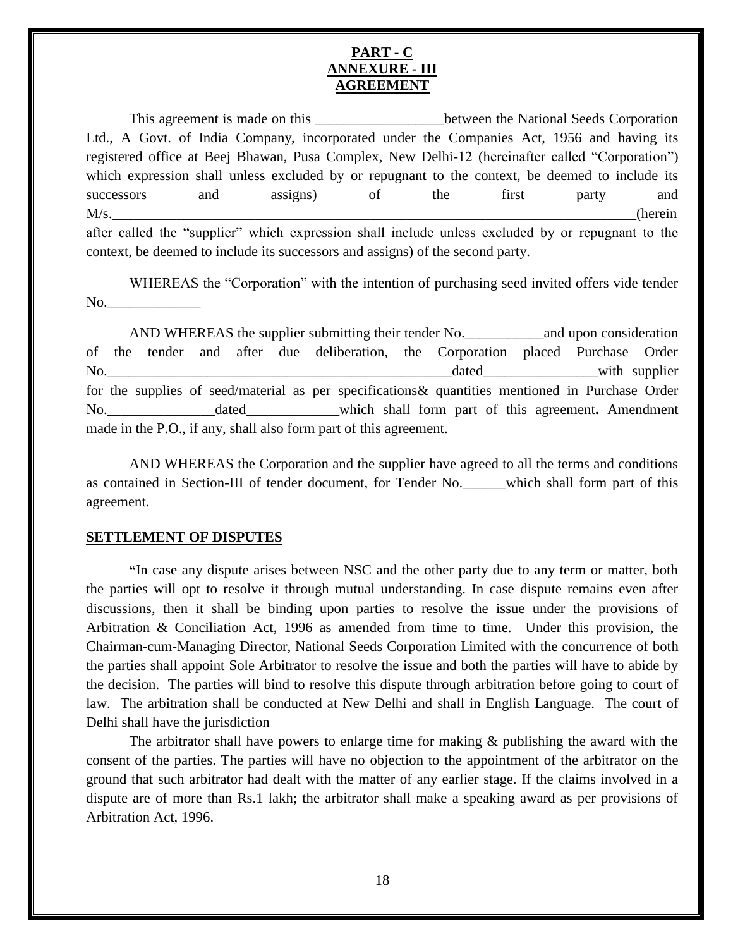#### **PART - C ANNEXURE - III AGREEMENT**

This agreement is made on this **Exercise 2.1** between the National Seeds Corporation Ltd., A Govt. of India Company, incorporated under the Companies Act, 1956 and having its registered office at Beej Bhawan, Pusa Complex, New Delhi-12 (hereinafter called "Corporation") which expression shall unless excluded by or repugnant to the context, be deemed to include its successors and assigns) of the first party and M/s.\_\_\_\_\_\_\_\_\_\_\_\_\_\_\_\_\_\_\_\_\_\_\_\_\_\_\_\_\_\_\_\_\_\_\_\_\_\_\_\_\_\_\_\_\_\_\_\_\_\_\_\_\_\_\_\_\_\_\_\_\_\_\_\_\_\_\_\_\_\_\_\_\_(herein after called the "supplier" which expression shall include unless excluded by or repugnant to the context, be deemed to include its successors and assigns) of the second party.

WHEREAS the "Corporation" with the intention of purchasing seed invited offers vide tender  $No.$ 

AND WHEREAS the supplier submitting their tender No.\_\_\_\_\_\_\_\_\_\_\_and upon consideration of the tender and after due deliberation, the Corporation placed Purchase Order No. the contract of the contract of the contract of the contract of the contract of the contract of the contract of the contract of the contract of the contract of the contract of the contract of the contract of the contra for the supplies of seed/material as per specifications& quantities mentioned in Purchase Order No.\_\_\_\_\_\_\_\_\_\_\_\_\_\_\_dated\_\_\_\_\_\_\_\_\_\_\_\_\_which shall form part of this agreement**.** Amendment made in the P.O., if any, shall also form part of this agreement.

AND WHEREAS the Corporation and the supplier have agreed to all the terms and conditions as contained in Section-III of tender document, for Tender No. Which shall form part of this agreement.

#### **SETTLEMENT OF DISPUTES**

**"**In case any dispute arises between NSC and the other party due to any term or matter, both the parties will opt to resolve it through mutual understanding. In case dispute remains even after discussions, then it shall be binding upon parties to resolve the issue under the provisions of Arbitration & Conciliation Act, 1996 as amended from time to time. Under this provision, the Chairman-cum-Managing Director, National Seeds Corporation Limited with the concurrence of both the parties shall appoint Sole Arbitrator to resolve the issue and both the parties will have to abide by the decision. The parties will bind to resolve this dispute through arbitration before going to court of law. The arbitration shall be conducted at New Delhi and shall in English Language. The court of Delhi shall have the jurisdiction

The arbitrator shall have powers to enlarge time for making & publishing the award with the consent of the parties. The parties will have no objection to the appointment of the arbitrator on the ground that such arbitrator had dealt with the matter of any earlier stage. If the claims involved in a dispute are of more than Rs.1 lakh; the arbitrator shall make a speaking award as per provisions of Arbitration Act, 1996.